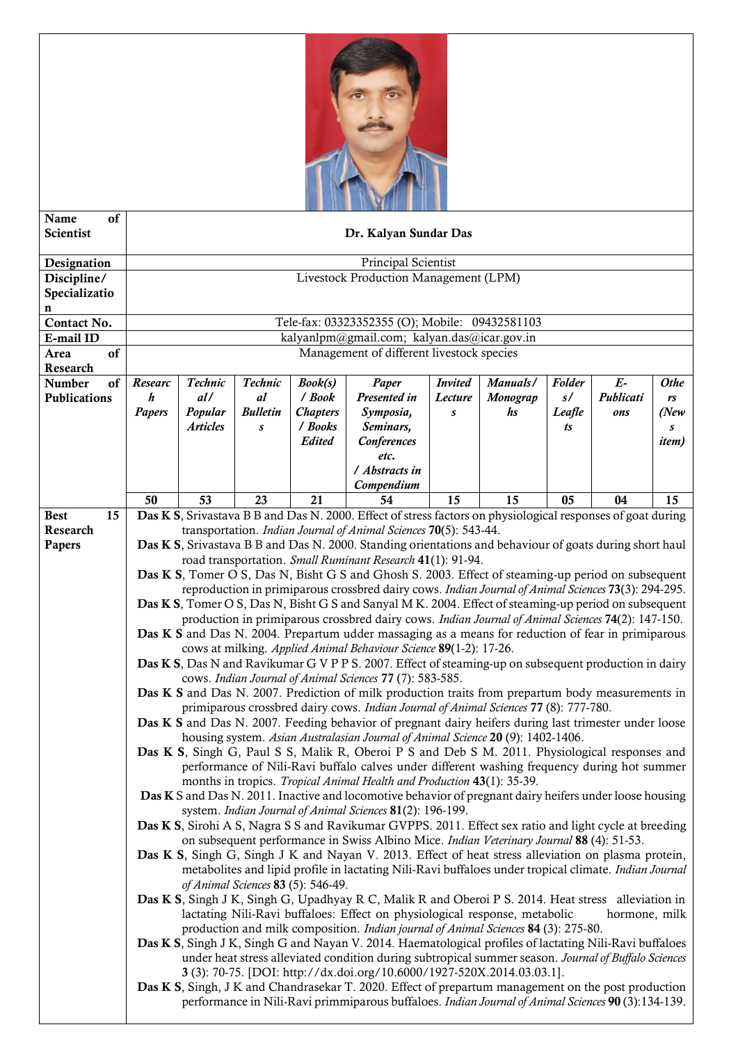

| of<br>Name<br><b>Scientist</b> |                                                                                                                                                                                   | Dr. Kalyan Sundar Das                                                                                                                                                             |                      |                     |                                                                                                             |                           |                      |              |                   |                   |  |
|--------------------------------|-----------------------------------------------------------------------------------------------------------------------------------------------------------------------------------|-----------------------------------------------------------------------------------------------------------------------------------------------------------------------------------|----------------------|---------------------|-------------------------------------------------------------------------------------------------------------|---------------------------|----------------------|--------------|-------------------|-------------------|--|
| Designation                    |                                                                                                                                                                                   | Principal Scientist                                                                                                                                                               |                      |                     |                                                                                                             |                           |                      |              |                   |                   |  |
| Discipline/                    |                                                                                                                                                                                   | Livestock Production Management (LPM)                                                                                                                                             |                      |                     |                                                                                                             |                           |                      |              |                   |                   |  |
| Specializatio                  |                                                                                                                                                                                   |                                                                                                                                                                                   |                      |                     |                                                                                                             |                           |                      |              |                   |                   |  |
| n                              |                                                                                                                                                                                   |                                                                                                                                                                                   |                      |                     |                                                                                                             |                           |                      |              |                   |                   |  |
| Contact No.                    |                                                                                                                                                                                   | Tele-fax: 03323352355 (O); Mobile: 09432581103                                                                                                                                    |                      |                     |                                                                                                             |                           |                      |              |                   |                   |  |
| E-mail ID                      | kalyanlpm@gmail.com; kalyan.das@icar.gov.in                                                                                                                                       |                                                                                                                                                                                   |                      |                     |                                                                                                             |                           |                      |              |                   |                   |  |
| of<br>Area                     |                                                                                                                                                                                   | Management of different livestock species                                                                                                                                         |                      |                     |                                                                                                             |                           |                      |              |                   |                   |  |
| Research                       |                                                                                                                                                                                   |                                                                                                                                                                                   |                      |                     |                                                                                                             |                           |                      |              |                   |                   |  |
| Number<br>of<br>Publications   | Researc<br>h                                                                                                                                                                      | Technic<br>dl/                                                                                                                                                                    | Technic<br><i>al</i> | Book(s)<br>$/$ Book | Paper<br>Presented in                                                                                       | <b>Invited</b><br>Lecture | Manuals/<br>Monograp | Folder<br>s/ | $E-$<br>Publicati | <b>Othe</b><br>rs |  |
|                                | Papers                                                                                                                                                                            | Popular                                                                                                                                                                           | <b>Bulletin</b>      | <b>Chapters</b>     | Symposia,                                                                                                   | $\boldsymbol{s}$          | hs                   | Leafle       | ons               | (New)             |  |
|                                |                                                                                                                                                                                   | <b>Articles</b>                                                                                                                                                                   | $\boldsymbol{s}$     | / Books             | Seminars,                                                                                                   |                           |                      | ts           |                   | s                 |  |
|                                |                                                                                                                                                                                   |                                                                                                                                                                                   |                      | <b>Edited</b>       | Conferences                                                                                                 |                           |                      |              |                   | <i>item</i> )     |  |
|                                |                                                                                                                                                                                   |                                                                                                                                                                                   |                      |                     | etc.                                                                                                        |                           |                      |              |                   |                   |  |
|                                |                                                                                                                                                                                   |                                                                                                                                                                                   |                      |                     | / Abstracts in                                                                                              |                           |                      |              |                   |                   |  |
|                                |                                                                                                                                                                                   |                                                                                                                                                                                   |                      |                     | Compendium                                                                                                  |                           |                      |              |                   |                   |  |
|                                | 50                                                                                                                                                                                | 53                                                                                                                                                                                | 23                   | 21                  | 54                                                                                                          | 15                        | 15                   | 05           | 04                | 15                |  |
| 15<br><b>Best</b><br>Research  |                                                                                                                                                                                   |                                                                                                                                                                                   |                      |                     | Das K S, Srivastava B B and Das N. 2000. Effect of stress factors on physiological responses of goat during |                           |                      |              |                   |                   |  |
| Papers                         |                                                                                                                                                                                   | transportation. Indian Journal of Animal Sciences 70(5): 543-44.<br>Das K S, Srivastava B B and Das N. 2000. Standing orientations and behaviour of goats during short haul       |                      |                     |                                                                                                             |                           |                      |              |                   |                   |  |
|                                |                                                                                                                                                                                   | road transportation. Small Ruminant Research 41(1): 91-94.                                                                                                                        |                      |                     |                                                                                                             |                           |                      |              |                   |                   |  |
|                                |                                                                                                                                                                                   | Das K S, Tomer O S, Das N, Bisht G S and Ghosh S. 2003. Effect of steaming-up period on subsequent                                                                                |                      |                     |                                                                                                             |                           |                      |              |                   |                   |  |
|                                | reproduction in primiparous crossbred dairy cows. Indian Journal of Animal Sciences 73(3): 294-295.                                                                               |                                                                                                                                                                                   |                      |                     |                                                                                                             |                           |                      |              |                   |                   |  |
|                                | Das K S, Tomer O S, Das N, Bisht G S and Sanyal M K. 2004. Effect of steaming-up period on subsequent                                                                             |                                                                                                                                                                                   |                      |                     |                                                                                                             |                           |                      |              |                   |                   |  |
|                                | production in primiparous crossbred dairy cows. Indian Journal of Animal Sciences 74(2): 147-150.                                                                                 |                                                                                                                                                                                   |                      |                     |                                                                                                             |                           |                      |              |                   |                   |  |
|                                | Das K S and Das N. 2004. Prepartum udder massaging as a means for reduction of fear in primiparous                                                                                |                                                                                                                                                                                   |                      |                     |                                                                                                             |                           |                      |              |                   |                   |  |
|                                | cows at milking. Applied Animal Behaviour Science 89(1-2): 17-26.<br>Das K S, Das N and Ravikumar G V P P S. 2007. Effect of steaming-up on subsequent production in dairy        |                                                                                                                                                                                   |                      |                     |                                                                                                             |                           |                      |              |                   |                   |  |
|                                | cows. Indian Journal of Animal Sciences 77 (7): 583-585.                                                                                                                          |                                                                                                                                                                                   |                      |                     |                                                                                                             |                           |                      |              |                   |                   |  |
|                                | Das K S and Das N. 2007. Prediction of milk production traits from prepartum body measurements in                                                                                 |                                                                                                                                                                                   |                      |                     |                                                                                                             |                           |                      |              |                   |                   |  |
|                                | primiparous crossbred dairy cows. Indian Journal of Animal Sciences 77 (8): 777-780.                                                                                              |                                                                                                                                                                                   |                      |                     |                                                                                                             |                           |                      |              |                   |                   |  |
|                                | Das K S and Das N. 2007. Feeding behavior of pregnant dairy heifers during last trimester under loose                                                                             |                                                                                                                                                                                   |                      |                     |                                                                                                             |                           |                      |              |                   |                   |  |
|                                | housing system. Asian Australasian Journal of Animal Science 20 (9): 1402-1406.                                                                                                   |                                                                                                                                                                                   |                      |                     |                                                                                                             |                           |                      |              |                   |                   |  |
|                                |                                                                                                                                                                                   | Das K S, Singh G, Paul S S, Malik R, Oberoi P S and Deb S M. 2011. Physiological responses and                                                                                    |                      |                     |                                                                                                             |                           |                      |              |                   |                   |  |
|                                | performance of Nili-Ravi buffalo calves under different washing frequency during hot summer                                                                                       |                                                                                                                                                                                   |                      |                     |                                                                                                             |                           |                      |              |                   |                   |  |
|                                | months in tropics. Tropical Animal Health and Production 43(1): 35-39.<br>Das K S and Das N. 2011. Inactive and locomotive behavior of pregnant dairy heifers under loose housing |                                                                                                                                                                                   |                      |                     |                                                                                                             |                           |                      |              |                   |                   |  |
|                                |                                                                                                                                                                                   | system. Indian Journal of Animal Sciences 81(2): 196-199.                                                                                                                         |                      |                     |                                                                                                             |                           |                      |              |                   |                   |  |
|                                |                                                                                                                                                                                   | Das K S, Sirohi A S, Nagra S S and Ravikumar GVPPS. 2011. Effect sex ratio and light cycle at breeding                                                                            |                      |                     |                                                                                                             |                           |                      |              |                   |                   |  |
|                                |                                                                                                                                                                                   |                                                                                                                                                                                   |                      |                     | on subsequent performance in Swiss Albino Mice. Indian Veterinary Journal 88 (4): 51-53.                    |                           |                      |              |                   |                   |  |
|                                |                                                                                                                                                                                   | <b>Das K S</b> , Singh G, Singh J K and Nayan V. 2013. Effect of heat stress alleviation on plasma protein,                                                                       |                      |                     |                                                                                                             |                           |                      |              |                   |                   |  |
|                                |                                                                                                                                                                                   |                                                                                                                                                                                   |                      |                     | metabolites and lipid profile in lactating Nili-Ravi buffaloes under tropical climate. Indian Journal       |                           |                      |              |                   |                   |  |
|                                |                                                                                                                                                                                   | of Animal Sciences 83 (5): 546-49.                                                                                                                                                |                      |                     |                                                                                                             |                           |                      |              |                   |                   |  |
|                                |                                                                                                                                                                                   | <b>Das K S</b> , Singh J K, Singh G, Upadhyay R C, Malik R and Oberoi P S. 2014. Heat stress alleviation in                                                                       |                      |                     |                                                                                                             |                           |                      |              |                   |                   |  |
|                                |                                                                                                                                                                                   | lactating Nili-Ravi buffaloes: Effect on physiological response, metabolic<br>hormone, milk<br>production and milk composition. Indian journal of Animal Sciences 84 (3): 275-80. |                      |                     |                                                                                                             |                           |                      |              |                   |                   |  |
|                                |                                                                                                                                                                                   |                                                                                                                                                                                   |                      |                     | Das K S, Singh J K, Singh G and Nayan V. 2014. Haematological profiles of lactating Nili-Ravi buffaloes     |                           |                      |              |                   |                   |  |
|                                |                                                                                                                                                                                   |                                                                                                                                                                                   |                      |                     | under heat stress alleviated condition during subtropical summer season. Journal of Buffalo Sciences        |                           |                      |              |                   |                   |  |
|                                |                                                                                                                                                                                   |                                                                                                                                                                                   |                      |                     | 3 (3): 70-75. [DOI: http://dx.doi.org/10.6000/1927-520X.2014.03.03.1].                                      |                           |                      |              |                   |                   |  |
|                                |                                                                                                                                                                                   |                                                                                                                                                                                   |                      |                     | Das K S, Singh, J K and Chandrasekar T. 2020. Effect of prepartum management on the post production         |                           |                      |              |                   |                   |  |
|                                |                                                                                                                                                                                   |                                                                                                                                                                                   |                      |                     | performance in Nili-Ravi primmiparous buffaloes. Indian Journal of Animal Sciences 90 (3):134-139.          |                           |                      |              |                   |                   |  |